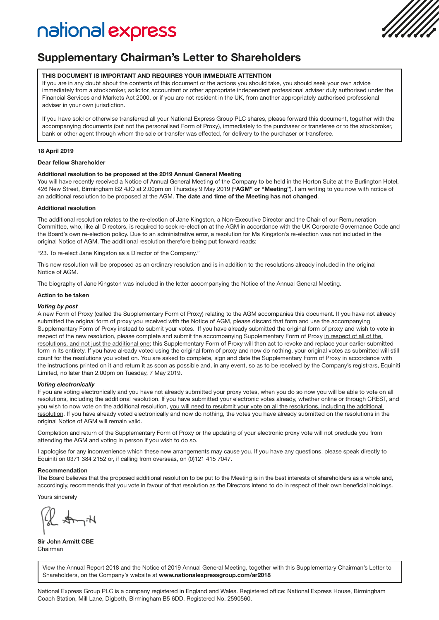# national express



## Supplementary Chairman's Letter to Shareholders

#### THIS DOCUMENT IS IMPORTANT AND REQUIRES YOUR IMMEDIATE ATTENTION

If you are in any doubt about the contents of this document or the actions you should take, you should seek your own advice immediately from a stockbroker, solicitor, accountant or other appropriate independent professional adviser duly authorised under the Financial Services and Markets Act 2000, or if you are not resident in the UK, from another appropriately authorised professional adviser in your own jurisdiction.

If you have sold or otherwise transferred all your National Express Group PLC shares, please forward this document, together with the accompanying documents (but not the personalised Form of Proxy), immediately to the purchaser or transferee or to the stockbroker, bank or other agent through whom the sale or transfer was effected, for delivery to the purchaser or transferee.

#### 18 April 2019

#### Dear fellow Shareholder

## Additional resolution to be proposed at the 2019 Annual General Meeting

You will have recently received a Notice of Annual General Meeting of the Company to be held in the Horton Suite at the Burlington Hotel, 426 New Street, Birmingham B2 4JQ at 2.00pm on Thursday 9 May 2019 ("AGM" or "Meeting"). I am writing to you now with notice of an additional resolution to be proposed at the AGM. The date and time of the Meeting has not changed.

#### Additional resolution

The additional resolution relates to the re-election of Jane Kingston, a Non-Executive Director and the Chair of our Remuneration Committee, who, like all Directors, is required to seek re-election at the AGM in accordance with the UK Corporate Governance Code and the Board's own re-election policy. Due to an administrative error, a resolution for Ms Kingston's re-election was not included in the original Notice of AGM. The additional resolution therefore being put forward reads:

"23. To re-elect Jane Kingston as a Director of the Company."

This new resolution will be proposed as an ordinary resolution and is in addition to the resolutions already included in the original Notice of AGM.

The biography of Jane Kingston was included in the letter accompanying the Notice of the Annual General Meeting.

#### Action to be taken

#### *Voting by post*

A new Form of Proxy (called the Supplementary Form of Proxy) relating to the AGM accompanies this document. If you have not already submitted the original form of proxy you received with the Notice of AGM, please discard that form and use the accompanying Supplementary Form of Proxy instead to submit your votes. If you have already submitted the original form of proxy and wish to vote in respect of the new resolution, please complete and submit the accompanying Supplementary Form of Proxy in respect of all of the resolutions, and not just the additional one; this Supplementary Form of Proxy will then act to revoke and replace your earlier submitted form in its entirety. If you have already voted using the original form of proxy and now do nothing, your original votes as submitted will still count for the resolutions you voted on. You are asked to complete, sign and date the Supplementary Form of Proxy in accordance with the instructions printed on it and return it as soon as possible and, in any event, so as to be received by the Company's registrars, Equiniti Limited, no later than 2.00pm on Tuesday, 7 May 2019.

#### *Voting electronically*

If you are voting electronically and you have not already submitted your proxy votes, when you do so now you will be able to vote on all resolutions, including the additional resolution. If you have submitted your electronic votes already, whether online or through CREST, and you wish to now vote on the additional resolution, you will need to resubmit your vote on all the resolutions, including the additional resolution. If you have already voted electronically and now do nothing, the votes you have already submitted on the resolutions in the original Notice of AGM will remain valid.

Completion and return of the Supplementary Form of Proxy or the updating of your electronic proxy vote will not preclude you from attending the AGM and voting in person if you wish to do so.

I apologise for any inconvenience which these new arrangements may cause you. If you have any questions, please speak directly to Equiniti on 0371 384 2152 or, if calling from overseas, on (0)121 415 7047.

#### Recommendation

The Board believes that the proposed additional resolution to be put to the Meeting is in the best interests of shareholders as a whole and, accordingly, recommends that you vote in favour of that resolution as the Directors intend to do in respect of their own beneficial holdings.

Yours sincerely

 $Q_{\mathbf{A}}$ 

Sir John Armitt CBE Chairman

View the Annual Report 2018 and the Notice of 2019 Annual General Meeting, together with this Supplementary Chairman's Letter to Shareholders, on the Company's website at www.nationalexpressgroup.com/ar2018

National Express Group PLC is a company registered in England and Wales. Registered office: National Express House, Birmingham Coach Station, Mill Lane, Digbeth, Birmingham B5 6DD. Registered No. 2590560.